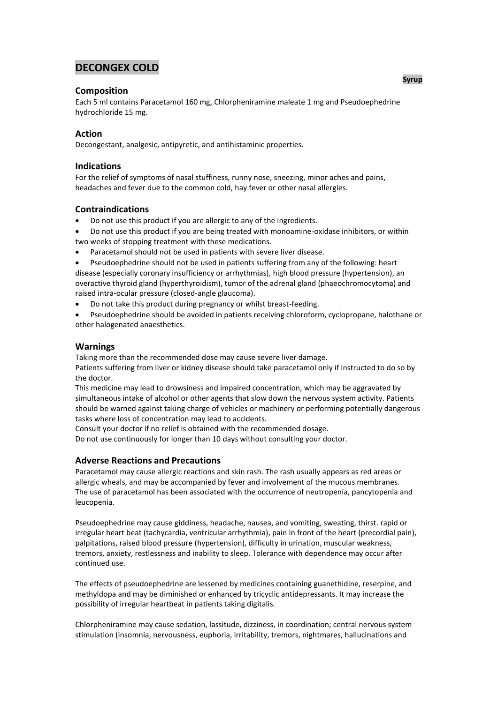# **DECONGEX COLD**

## **Composition**

Each 5 ml contains Paracetamol 160 mg, Chlorpheniramine maleate 1 mg and Pseudoephedrine hydrochloride 15 mg.

## **Action**

Decongestant, analgesic, antipyretic, and antihistaminic properties.

## **Indications**

For the relief of symptoms of nasal stuffiness, runny nose, sneezing, minor aches and pains, headaches and fever due to the common cold, hay fever or other nasal allergies.

## **Contraindications**

- Do not use this product if you are allergic to any of the ingredients.
- Do not use this product if you are being treated with monoamine-oxidase inhibitors, or within two weeks of stopping treatment with these medications.
- Paracetamol should not be used in patients with severe liver disease.
- Pseudoephedrine should not be used in patients suffering from any of the following: heart

disease (especially coronary insufficiency or arrhythmias), high blood pressure (hypertension), an overactive thyroid gland (hyperthyroidism), tumor of the adrenal gland (phaeochromocytoma) and raised intra-ocular pressure (closed-angle glaucoma).

- Do not take this product during pregnancy or whilst breast-feeding.
- Pseudoephedrine should be avoided in patients receiving chloroform, cyclopropane, halothane or other halogenated anaesthetics.

## **Warnings**

Taking more than the recommended dose may cause severe liver damage.

Patients suffering from liver or kidney disease should take paracetamol only if instructed to do so by the doctor.

This medicine may lead to drowsiness and impaired concentration, which may be aggravated by simultaneous intake of alcohol or other agents that slow down the nervous system activity. Patients should be warned against taking charge of vehicles or machinery or performing potentially dangerous tasks where loss of concentration may lead to accidents.

Consult your doctor if no relief is obtained with the recommended dosage.

Do not use continuously for longer than 10 days without consulting your doctor.

# **Adverse Reactions and Precautions**

Paracetamol may cause allergic reactions and skin rash. The rash usually appears as red areas or allergic wheals, and may be accompanied by fever and involvement of the mucous membranes. The use of paracetamol has been associated with the occurrence of neutropenia, pancytopenia and leucopenia.

Pseudoephedrine may cause giddiness, headache, nausea, and vomiting, sweating, thirst. rapid or irregular heart beat (tachycardia, ventricular arrhythmia), pain in front of the heart (precordial pain), palpitations, raised blood pressure (hypertension), difficulty in urination, muscular weakness, tremors, anxiety, restlessness and inability to sleep. Tolerance with dependence may occur after continued use.

The effects of pseudoephedrine are lessened by medicines containing guanethidine, reserpine, and methyldopa and may be diminished or enhanced by tricyclic antidepressants. It may increase the possibility of irregular heartbeat in patients taking digitalis.

Chlorpheniramine may cause sedation, lassitude, dizziness, in coordination; central nervous system stimulation (insomnia, nervousness, euphoria, irritability, tremors, nightmares, hallucinations and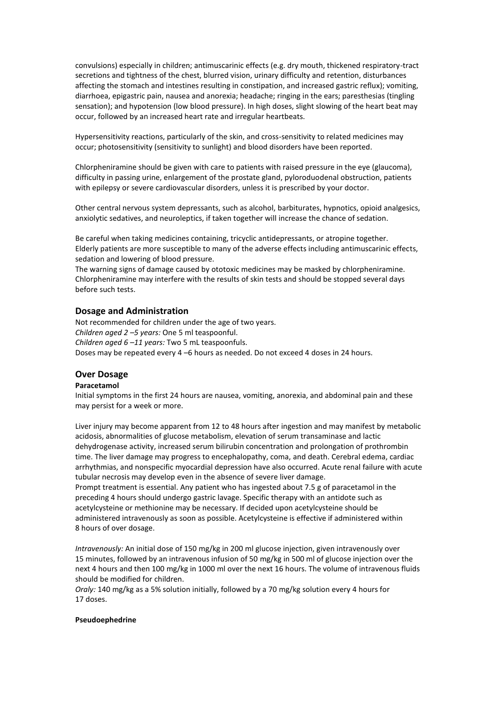convulsions) especially in children; antimuscarinic effects (e.g. dry mouth, thickened respiratory-tract secretions and tightness of the chest, blurred vision, urinary difficulty and retention, disturbances affecting the stomach and intestines resulting in constipation, and increased gastric reflux); vomiting, diarrhoea, epigastric pain, nausea and anorexia; headache; ringing in the ears; paresthesias (tingling sensation); and hypotension (low blood pressure). In high doses, slight slowing of the heart beat may occur, followed by an increased heart rate and irregular heartbeats.

Hypersensitivity reactions, particularly of the skin, and cross-sensitivity to related medicines may occur; photosensitivity (sensitivity to sunlight) and blood disorders have been reported.

Chlorpheniramine should be given with care to patients with raised pressure in the eye (glaucoma), difficulty in passing urine, enlargement of the prostate gland, pyloroduodenal obstruction, patients with epilepsy or severe cardiovascular disorders, unless it is prescribed by your doctor.

Other central nervous system depressants, such as alcohol, barbiturates, hypnotics, opioid analgesics, anxiolytic sedatives, and neuroleptics, if taken together will increase the chance of sedation.

Be careful when taking medicines containing, tricyclic antidepressants, or atropine together. Elderly patients are more susceptible to many of the adverse effects including antimuscarinic effects, sedation and lowering of blood pressure.

The warning signs of damage caused by ototoxic medicines may be masked by chlorpheniramine. Chlorpheniramine may interfere with the results of skin tests and should be stopped several days before such tests.

### **Dosage and Administration**

Not recommended for children under the age of two years. *Children aged 2 –5 years:* One 5 ml teaspoonful. *Children aged 6 –11 years:* Two 5 mL teaspoonfuls. Doses may be repeated every 4 –6 hours as needed. Do not exceed 4 doses in 24 hours.

## **Over Dosage**

#### **Paracetamol**

Initial symptoms in the first 24 hours are nausea, vomiting, anorexia, and abdominal pain and these may persist for a week or more.

Liver injury may become apparent from 12 to 48 hours after ingestion and may manifest by metabolic acidosis, abnormalities of glucose metabolism, elevation of serum transaminase and lactic dehydrogenase activity, increased serum bilirubin concentration and prolongation of prothrombin time. The liver damage may progress to encephalopathy, coma, and death. Cerebral edema, cardiac arrhythmias, and nonspecific myocardial depression have also occurred. Acute renal failure with acute tubular necrosis may develop even in the absence of severe liver damage.

Prompt treatment is essential. Any patient who has ingested about 7.5 g of paracetamol in the preceding 4 hours should undergo gastric lavage. Specific therapy with an antidote such as acetylcysteine or methionine may be necessary. If decided upon acetylcysteine should be administered intravenously as soon as possible. Acetylcysteine is effective if administered within 8 hours of over dosage.

*Intravenously:* An initial dose of 150 mg/kg in 200 ml glucose injection, given intravenously over 15 minutes, followed by an intravenous infusion of 50 mg/kg in 500 ml of glucose injection over the next 4 hours and then 100 mg/kg in 1000 ml over the next 16 hours. The volume of intravenous fluids should be modified for children.

*Oraly:* 140 mg/kg as a 5% solution initially, followed by a 70 mg/kg solution every 4 hours for 17 doses.

#### **Pseudoephedrine**